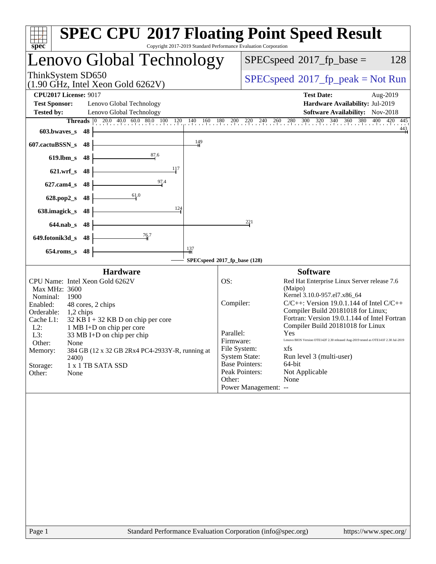| spec <sup>®</sup>                                                                                                                                                                                                                                                                                                                                                                                                                | <b>SPEC CPU®2017 Floating Point Speed Result</b><br>Copyright 2017-2019 Standard Performance Evaluation Corporation                                                                                                                                                                                                                                                                                                                                                                                                                                                                                                          |
|----------------------------------------------------------------------------------------------------------------------------------------------------------------------------------------------------------------------------------------------------------------------------------------------------------------------------------------------------------------------------------------------------------------------------------|------------------------------------------------------------------------------------------------------------------------------------------------------------------------------------------------------------------------------------------------------------------------------------------------------------------------------------------------------------------------------------------------------------------------------------------------------------------------------------------------------------------------------------------------------------------------------------------------------------------------------|
| Lenovo Global Technology                                                                                                                                                                                                                                                                                                                                                                                                         | $SPEC speed^{\circ}2017$ _fp_base =<br>128                                                                                                                                                                                                                                                                                                                                                                                                                                                                                                                                                                                   |
| ThinkSystem SD650<br>$(1.90 \text{ GHz}, \text{Intel Xeon Gold } 6262 \text{V})$                                                                                                                                                                                                                                                                                                                                                 | $SPEC speed^{\circ}2017\_fp\_peak = Not Run$                                                                                                                                                                                                                                                                                                                                                                                                                                                                                                                                                                                 |
| <b>CPU2017 License: 9017</b>                                                                                                                                                                                                                                                                                                                                                                                                     | <b>Test Date:</b><br>Aug-2019                                                                                                                                                                                                                                                                                                                                                                                                                                                                                                                                                                                                |
| <b>Test Sponsor:</b><br>Lenovo Global Technology                                                                                                                                                                                                                                                                                                                                                                                 | Hardware Availability: Jul-2019                                                                                                                                                                                                                                                                                                                                                                                                                                                                                                                                                                                              |
| <b>Tested by:</b><br>Lenovo Global Technology                                                                                                                                                                                                                                                                                                                                                                                    | Software Availability: Nov-2018                                                                                                                                                                                                                                                                                                                                                                                                                                                                                                                                                                                              |
| <b>Threads</b><br>$ 0\rangle$                                                                                                                                                                                                                                                                                                                                                                                                    | 20.0 40.0 60.0 80.0 100 120 140 160 180 200 220 240 260 280 300 320 340 360 380 400 420<br>445                                                                                                                                                                                                                                                                                                                                                                                                                                                                                                                               |
| $603.bwaves$ s<br>-48                                                                                                                                                                                                                                                                                                                                                                                                            | $\frac{443}{ }$                                                                                                                                                                                                                                                                                                                                                                                                                                                                                                                                                                                                              |
| $\frac{149}{4}$<br>607.cactuBSSN_s<br>48                                                                                                                                                                                                                                                                                                                                                                                         |                                                                                                                                                                                                                                                                                                                                                                                                                                                                                                                                                                                                                              |
| 87.6<br>$619$ .lbm_s<br>48                                                                                                                                                                                                                                                                                                                                                                                                       |                                                                                                                                                                                                                                                                                                                                                                                                                                                                                                                                                                                                                              |
| 117<br>$621.wrf$ <sub>S</sub><br>48                                                                                                                                                                                                                                                                                                                                                                                              |                                                                                                                                                                                                                                                                                                                                                                                                                                                                                                                                                                                                                              |
| 97.4<br>$627$ .cam $4s$<br>48                                                                                                                                                                                                                                                                                                                                                                                                    |                                                                                                                                                                                                                                                                                                                                                                                                                                                                                                                                                                                                                              |
| 61.0<br>628.pop2_s<br>48                                                                                                                                                                                                                                                                                                                                                                                                         |                                                                                                                                                                                                                                                                                                                                                                                                                                                                                                                                                                                                                              |
| 124<br>638.imagick_s<br>48                                                                                                                                                                                                                                                                                                                                                                                                       |                                                                                                                                                                                                                                                                                                                                                                                                                                                                                                                                                                                                                              |
| $644$ .nab $\sf s$<br>48                                                                                                                                                                                                                                                                                                                                                                                                         | 221                                                                                                                                                                                                                                                                                                                                                                                                                                                                                                                                                                                                                          |
| $\frac{76.7}{9}$<br>649.fotonik3d_s<br>48                                                                                                                                                                                                                                                                                                                                                                                        |                                                                                                                                                                                                                                                                                                                                                                                                                                                                                                                                                                                                                              |
| 137<br>48<br>$654$ .roms s                                                                                                                                                                                                                                                                                                                                                                                                       |                                                                                                                                                                                                                                                                                                                                                                                                                                                                                                                                                                                                                              |
|                                                                                                                                                                                                                                                                                                                                                                                                                                  | SPECspeed®2017_fp_base (128)                                                                                                                                                                                                                                                                                                                                                                                                                                                                                                                                                                                                 |
| <b>Hardware</b><br>CPU Name: Intel Xeon Gold 6262V<br>Max MHz: 3600<br>Nominal:<br>1900<br>Enabled:<br>48 cores, 2 chips<br>Orderable:<br>1,2 chips<br>Cache L1:<br>$32$ KB I + 32 KB D on chip per core<br>$L2$ :<br>1 MB I+D on chip per core<br>L3:<br>33 MB I+D on chip per chip<br>Other:<br>None<br>384 GB (12 x 32 GB 2Rx4 PC4-2933Y-R, running at<br>Memory:<br>2400)<br>Storage:<br>1 x 1 TB SATA SSD<br>Other:<br>None | <b>Software</b><br>OS:<br>Red Hat Enterprise Linux Server release 7.6<br>(Maipo)<br>Kernel 3.10.0-957.el7.x86_64<br>$C/C++$ : Version 19.0.1.144 of Intel $C/C++$<br>Compiler:<br>Compiler Build 20181018 for Linux;<br>Fortran: Version 19.0.1.144 of Intel Fortran<br>Compiler Build 20181018 for Linux<br>Parallel:<br>Yes<br>Lenovo BIOS Version OTE142F 2.30 released Aug-2019 tested as OTE141F 2.30 Jul-2019<br>Firmware:<br>File System:<br>xfs<br><b>System State:</b><br>Run level 3 (multi-user)<br><b>Base Pointers:</b><br>64-bit<br>Peak Pointers:<br>Not Applicable<br>None<br>Other:<br>Power Management: -- |
|                                                                                                                                                                                                                                                                                                                                                                                                                                  |                                                                                                                                                                                                                                                                                                                                                                                                                                                                                                                                                                                                                              |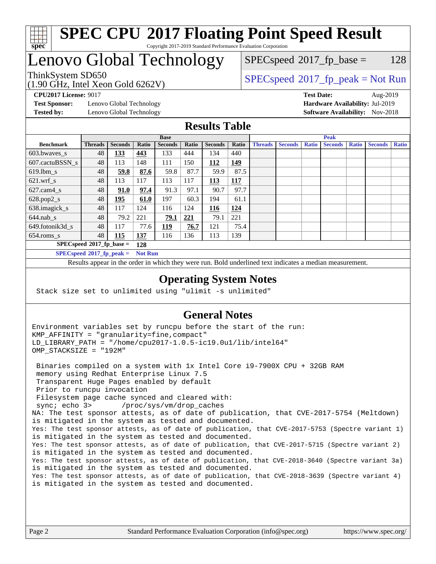

### **[SPEC CPU](http://www.spec.org/auto/cpu2017/Docs/result-fields.html#SPECCPU2017FloatingPointSpeedResult)[2017 Floating Point Speed Result](http://www.spec.org/auto/cpu2017/Docs/result-fields.html#SPECCPU2017FloatingPointSpeedResult)** Copyright 2017-2019 Standard Performance Evaluation Corporation

# Lenovo Global Technology

(1.90 GHz, Intel Xeon Gold 6262V)

 $SPEC speed^{\circ}2017\_fp\_base = 128$ 

# ThinkSystem SD650  $SPECspeed^{\circ}2017_fp\_peak = Not Run$  $SPECspeed^{\circ}2017_fp\_peak = Not Run$

**[Test Sponsor:](http://www.spec.org/auto/cpu2017/Docs/result-fields.html#TestSponsor)** Lenovo Global Technology **[Hardware Availability:](http://www.spec.org/auto/cpu2017/Docs/result-fields.html#HardwareAvailability)** Jul-2019 **[Tested by:](http://www.spec.org/auto/cpu2017/Docs/result-fields.html#Testedby)** Lenovo Global Technology **[Software Availability:](http://www.spec.org/auto/cpu2017/Docs/result-fields.html#SoftwareAvailability)** Nov-2018

**[CPU2017 License:](http://www.spec.org/auto/cpu2017/Docs/result-fields.html#CPU2017License)** 9017 **[Test Date:](http://www.spec.org/auto/cpu2017/Docs/result-fields.html#TestDate)** Aug-2019

### **[Results Table](http://www.spec.org/auto/cpu2017/Docs/result-fields.html#ResultsTable)**

|                                    | <b>Base</b>    |                |                |                |       | <b>Peak</b>    |       |                |                |              |                |              |                |              |
|------------------------------------|----------------|----------------|----------------|----------------|-------|----------------|-------|----------------|----------------|--------------|----------------|--------------|----------------|--------------|
| <b>Benchmark</b>                   | <b>Threads</b> | <b>Seconds</b> | Ratio          | <b>Seconds</b> | Ratio | <b>Seconds</b> | Ratio | <b>Threads</b> | <b>Seconds</b> | <b>Ratio</b> | <b>Seconds</b> | <b>Ratio</b> | <b>Seconds</b> | <b>Ratio</b> |
| $603.bwaves$ s                     | 48             | <u>133</u>     | 443            | 133            | 444   | 134            | 440   |                |                |              |                |              |                |              |
| 607.cactuBSSN s                    | 48             | 113            | 148            | 111            | 150   | 112            | 149   |                |                |              |                |              |                |              |
| $619.1$ bm s                       | 48             | 59.8           | 87.6           | 59.8           | 87.7  | 59.9           | 87.5  |                |                |              |                |              |                |              |
| $621$ .wrf s                       | 48             | 113            | 117            | 113            | 117   | 113            | 117   |                |                |              |                |              |                |              |
| $627.cam4_s$                       | 48             | <u>91.0</u>    | 97.4           | 91.3           | 97.1  | 90.7           | 97.7  |                |                |              |                |              |                |              |
| $628.pop2_s$                       | 48             | 195            | 61.0           | 197            | 60.3  | 194            | 61.1  |                |                |              |                |              |                |              |
| 638.imagick_s                      | 48             | 117            | 124            | 116            | 124   | 116            | 124   |                |                |              |                |              |                |              |
| $644$ .nab s                       | 48             | 79.2           | 221            | 79.1           | 221   | 79.1           | 221   |                |                |              |                |              |                |              |
| 649.fotonik3d s                    | 48             | 117            | 77.6           | 119            | 76.7  | 121            | 75.4  |                |                |              |                |              |                |              |
| $654$ .roms s                      | 48             | 115            | <b>137</b>     | 116            | 136   | 113            | 139   |                |                |              |                |              |                |              |
| $SPECspeed*2017_fp\_base =$<br>128 |                |                |                |                |       |                |       |                |                |              |                |              |                |              |
| $SPECspeed*2017_fp\_peak =$        |                |                | <b>Not Run</b> |                |       |                |       |                |                |              |                |              |                |              |

Results appear in the [order in which they were run.](http://www.spec.org/auto/cpu2017/Docs/result-fields.html#RunOrder) Bold underlined text [indicates a median measurement](http://www.spec.org/auto/cpu2017/Docs/result-fields.html#Median).

### **[Operating System Notes](http://www.spec.org/auto/cpu2017/Docs/result-fields.html#OperatingSystemNotes)**

Stack size set to unlimited using "ulimit -s unlimited"

### **[General Notes](http://www.spec.org/auto/cpu2017/Docs/result-fields.html#GeneralNotes)**

Environment variables set by runcpu before the start of the run: KMP\_AFFINITY = "granularity=fine,compact" LD\_LIBRARY\_PATH = "/home/cpu2017-1.0.5-ic19.0u1/lib/intel64" OMP\_STACKSIZE = "192M"

 Binaries compiled on a system with 1x Intel Core i9-7900X CPU + 32GB RAM memory using Redhat Enterprise Linux 7.5 Transparent Huge Pages enabled by default Prior to runcpu invocation Filesystem page cache synced and cleared with: sync; echo 3> /proc/sys/vm/drop\_caches NA: The test sponsor attests, as of date of publication, that CVE-2017-5754 (Meltdown) is mitigated in the system as tested and documented. Yes: The test sponsor attests, as of date of publication, that CVE-2017-5753 (Spectre variant 1) is mitigated in the system as tested and documented. Yes: The test sponsor attests, as of date of publication, that CVE-2017-5715 (Spectre variant 2) is mitigated in the system as tested and documented. Yes: The test sponsor attests, as of date of publication, that CVE-2018-3640 (Spectre variant 3a) is mitigated in the system as tested and documented. Yes: The test sponsor attests, as of date of publication, that CVE-2018-3639 (Spectre variant 4) is mitigated in the system as tested and documented.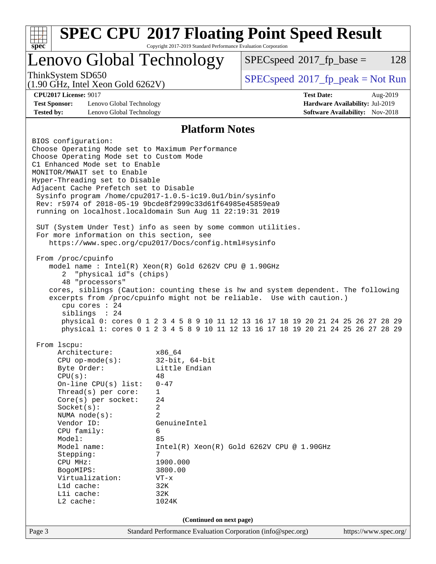| Lenovo Global Technology<br>ThinkSystem SD650<br>(1.90 GHz, Intel Xeon Gold 6262V)<br><b>CPU2017 License: 9017</b><br><b>Test Sponsor:</b><br>Lenovo Global Technology<br><b>Tested by:</b><br>Lenovo Global Technology<br><b>Platform Notes</b><br>BIOS configuration:<br>Choose Operating Mode set to Maximum Performance<br>Choose Operating Mode set to Custom Mode<br>C1 Enhanced Mode set to Enable<br>MONITOR/MWAIT set to Enable<br>Hyper-Threading set to Disable<br>Adjacent Cache Prefetch set to Disable<br>Sysinfo program /home/cpu2017-1.0.5-ic19.0ul/bin/sysinfo<br>Rev: r5974 of 2018-05-19 9bcde8f2999c33d61f64985e45859ea9<br>running on localhost.localdomain Sun Aug 11 22:19:31 2019<br>SUT (System Under Test) info as seen by some common utilities.<br>For more information on this section, see<br>https://www.spec.org/cpu2017/Docs/config.html#sysinfo<br>From /proc/cpuinfo<br>model name: $Intel(R)$ Xeon $(R)$ Gold 6262V CPU @ 1.90GHz<br>"physical id"s (chips)<br>2<br>48 "processors"<br>cores, siblings (Caution: counting these is hw and system dependent. The following<br>excerpts from /proc/cpuinfo might not be reliable. Use with caution.)<br>cpu cores : 24<br>siblings : 24<br>physical 0: cores 0 1 2 3 4 5 8 9 10 11 12 13 16 17 18 19 20 21 24 25 26 27 28 29<br>physical 1: cores 0 1 2 3 4 5 8 9 10 11 12 13 16 17 18 19 20 21 24 25 26 27 28 29<br>From lscpu:<br>Architecture:<br>x86_64<br>$32$ -bit, $64$ -bit<br>$CPU$ op-mode( $s$ ):<br>Little Endian<br>Byte Order:<br>CPU(s):<br>48<br>$0 - 47$<br>On-line CPU $(s)$ list:<br>Thread( $s$ ) per core:<br>$\mathbf{1}$<br>$Core(s)$ per socket:<br>24<br>2<br>Socket(s):<br>$\overline{2}$<br>NUMA node(s):<br>Vendor ID:<br>GenuineIntel<br>CPU family:<br>6<br>85<br>Model:<br>Model name:<br>$Intel(R) Xeon(R) Gold 6262V CPU @ 1.90GHz$<br>7<br>Stepping:<br>CPU MHz:<br>1900.000<br>3800.00<br>BogoMIPS: | $SPEC speed^{\circ}2017$ _fp_base =<br>128   |  |  |  |  |
|---------------------------------------------------------------------------------------------------------------------------------------------------------------------------------------------------------------------------------------------------------------------------------------------------------------------------------------------------------------------------------------------------------------------------------------------------------------------------------------------------------------------------------------------------------------------------------------------------------------------------------------------------------------------------------------------------------------------------------------------------------------------------------------------------------------------------------------------------------------------------------------------------------------------------------------------------------------------------------------------------------------------------------------------------------------------------------------------------------------------------------------------------------------------------------------------------------------------------------------------------------------------------------------------------------------------------------------------------------------------------------------------------------------------------------------------------------------------------------------------------------------------------------------------------------------------------------------------------------------------------------------------------------------------------------------------------------------------------------------------------------------------------------------------------------------------------------------------------------------------------------------------------------------------------|----------------------------------------------|--|--|--|--|
|                                                                                                                                                                                                                                                                                                                                                                                                                                                                                                                                                                                                                                                                                                                                                                                                                                                                                                                                                                                                                                                                                                                                                                                                                                                                                                                                                                                                                                                                                                                                                                                                                                                                                                                                                                                                                                                                                                                           |                                              |  |  |  |  |
|                                                                                                                                                                                                                                                                                                                                                                                                                                                                                                                                                                                                                                                                                                                                                                                                                                                                                                                                                                                                                                                                                                                                                                                                                                                                                                                                                                                                                                                                                                                                                                                                                                                                                                                                                                                                                                                                                                                           | $SPEC speed^{\circ}2017\_fp\_peak = Not Run$ |  |  |  |  |
|                                                                                                                                                                                                                                                                                                                                                                                                                                                                                                                                                                                                                                                                                                                                                                                                                                                                                                                                                                                                                                                                                                                                                                                                                                                                                                                                                                                                                                                                                                                                                                                                                                                                                                                                                                                                                                                                                                                           | <b>Test Date:</b><br>Aug-2019                |  |  |  |  |
|                                                                                                                                                                                                                                                                                                                                                                                                                                                                                                                                                                                                                                                                                                                                                                                                                                                                                                                                                                                                                                                                                                                                                                                                                                                                                                                                                                                                                                                                                                                                                                                                                                                                                                                                                                                                                                                                                                                           | Hardware Availability: Jul-2019              |  |  |  |  |
|                                                                                                                                                                                                                                                                                                                                                                                                                                                                                                                                                                                                                                                                                                                                                                                                                                                                                                                                                                                                                                                                                                                                                                                                                                                                                                                                                                                                                                                                                                                                                                                                                                                                                                                                                                                                                                                                                                                           | Software Availability: Nov-2018              |  |  |  |  |
|                                                                                                                                                                                                                                                                                                                                                                                                                                                                                                                                                                                                                                                                                                                                                                                                                                                                                                                                                                                                                                                                                                                                                                                                                                                                                                                                                                                                                                                                                                                                                                                                                                                                                                                                                                                                                                                                                                                           |                                              |  |  |  |  |
|                                                                                                                                                                                                                                                                                                                                                                                                                                                                                                                                                                                                                                                                                                                                                                                                                                                                                                                                                                                                                                                                                                                                                                                                                                                                                                                                                                                                                                                                                                                                                                                                                                                                                                                                                                                                                                                                                                                           |                                              |  |  |  |  |
|                                                                                                                                                                                                                                                                                                                                                                                                                                                                                                                                                                                                                                                                                                                                                                                                                                                                                                                                                                                                                                                                                                                                                                                                                                                                                                                                                                                                                                                                                                                                                                                                                                                                                                                                                                                                                                                                                                                           |                                              |  |  |  |  |
|                                                                                                                                                                                                                                                                                                                                                                                                                                                                                                                                                                                                                                                                                                                                                                                                                                                                                                                                                                                                                                                                                                                                                                                                                                                                                                                                                                                                                                                                                                                                                                                                                                                                                                                                                                                                                                                                                                                           |                                              |  |  |  |  |
|                                                                                                                                                                                                                                                                                                                                                                                                                                                                                                                                                                                                                                                                                                                                                                                                                                                                                                                                                                                                                                                                                                                                                                                                                                                                                                                                                                                                                                                                                                                                                                                                                                                                                                                                                                                                                                                                                                                           |                                              |  |  |  |  |
|                                                                                                                                                                                                                                                                                                                                                                                                                                                                                                                                                                                                                                                                                                                                                                                                                                                                                                                                                                                                                                                                                                                                                                                                                                                                                                                                                                                                                                                                                                                                                                                                                                                                                                                                                                                                                                                                                                                           |                                              |  |  |  |  |
|                                                                                                                                                                                                                                                                                                                                                                                                                                                                                                                                                                                                                                                                                                                                                                                                                                                                                                                                                                                                                                                                                                                                                                                                                                                                                                                                                                                                                                                                                                                                                                                                                                                                                                                                                                                                                                                                                                                           |                                              |  |  |  |  |
|                                                                                                                                                                                                                                                                                                                                                                                                                                                                                                                                                                                                                                                                                                                                                                                                                                                                                                                                                                                                                                                                                                                                                                                                                                                                                                                                                                                                                                                                                                                                                                                                                                                                                                                                                                                                                                                                                                                           |                                              |  |  |  |  |
|                                                                                                                                                                                                                                                                                                                                                                                                                                                                                                                                                                                                                                                                                                                                                                                                                                                                                                                                                                                                                                                                                                                                                                                                                                                                                                                                                                                                                                                                                                                                                                                                                                                                                                                                                                                                                                                                                                                           |                                              |  |  |  |  |
|                                                                                                                                                                                                                                                                                                                                                                                                                                                                                                                                                                                                                                                                                                                                                                                                                                                                                                                                                                                                                                                                                                                                                                                                                                                                                                                                                                                                                                                                                                                                                                                                                                                                                                                                                                                                                                                                                                                           |                                              |  |  |  |  |
|                                                                                                                                                                                                                                                                                                                                                                                                                                                                                                                                                                                                                                                                                                                                                                                                                                                                                                                                                                                                                                                                                                                                                                                                                                                                                                                                                                                                                                                                                                                                                                                                                                                                                                                                                                                                                                                                                                                           |                                              |  |  |  |  |
|                                                                                                                                                                                                                                                                                                                                                                                                                                                                                                                                                                                                                                                                                                                                                                                                                                                                                                                                                                                                                                                                                                                                                                                                                                                                                                                                                                                                                                                                                                                                                                                                                                                                                                                                                                                                                                                                                                                           |                                              |  |  |  |  |
|                                                                                                                                                                                                                                                                                                                                                                                                                                                                                                                                                                                                                                                                                                                                                                                                                                                                                                                                                                                                                                                                                                                                                                                                                                                                                                                                                                                                                                                                                                                                                                                                                                                                                                                                                                                                                                                                                                                           |                                              |  |  |  |  |
|                                                                                                                                                                                                                                                                                                                                                                                                                                                                                                                                                                                                                                                                                                                                                                                                                                                                                                                                                                                                                                                                                                                                                                                                                                                                                                                                                                                                                                                                                                                                                                                                                                                                                                                                                                                                                                                                                                                           |                                              |  |  |  |  |
|                                                                                                                                                                                                                                                                                                                                                                                                                                                                                                                                                                                                                                                                                                                                                                                                                                                                                                                                                                                                                                                                                                                                                                                                                                                                                                                                                                                                                                                                                                                                                                                                                                                                                                                                                                                                                                                                                                                           |                                              |  |  |  |  |
|                                                                                                                                                                                                                                                                                                                                                                                                                                                                                                                                                                                                                                                                                                                                                                                                                                                                                                                                                                                                                                                                                                                                                                                                                                                                                                                                                                                                                                                                                                                                                                                                                                                                                                                                                                                                                                                                                                                           |                                              |  |  |  |  |
|                                                                                                                                                                                                                                                                                                                                                                                                                                                                                                                                                                                                                                                                                                                                                                                                                                                                                                                                                                                                                                                                                                                                                                                                                                                                                                                                                                                                                                                                                                                                                                                                                                                                                                                                                                                                                                                                                                                           |                                              |  |  |  |  |
|                                                                                                                                                                                                                                                                                                                                                                                                                                                                                                                                                                                                                                                                                                                                                                                                                                                                                                                                                                                                                                                                                                                                                                                                                                                                                                                                                                                                                                                                                                                                                                                                                                                                                                                                                                                                                                                                                                                           |                                              |  |  |  |  |
|                                                                                                                                                                                                                                                                                                                                                                                                                                                                                                                                                                                                                                                                                                                                                                                                                                                                                                                                                                                                                                                                                                                                                                                                                                                                                                                                                                                                                                                                                                                                                                                                                                                                                                                                                                                                                                                                                                                           |                                              |  |  |  |  |
|                                                                                                                                                                                                                                                                                                                                                                                                                                                                                                                                                                                                                                                                                                                                                                                                                                                                                                                                                                                                                                                                                                                                                                                                                                                                                                                                                                                                                                                                                                                                                                                                                                                                                                                                                                                                                                                                                                                           |                                              |  |  |  |  |
|                                                                                                                                                                                                                                                                                                                                                                                                                                                                                                                                                                                                                                                                                                                                                                                                                                                                                                                                                                                                                                                                                                                                                                                                                                                                                                                                                                                                                                                                                                                                                                                                                                                                                                                                                                                                                                                                                                                           |                                              |  |  |  |  |
|                                                                                                                                                                                                                                                                                                                                                                                                                                                                                                                                                                                                                                                                                                                                                                                                                                                                                                                                                                                                                                                                                                                                                                                                                                                                                                                                                                                                                                                                                                                                                                                                                                                                                                                                                                                                                                                                                                                           |                                              |  |  |  |  |
|                                                                                                                                                                                                                                                                                                                                                                                                                                                                                                                                                                                                                                                                                                                                                                                                                                                                                                                                                                                                                                                                                                                                                                                                                                                                                                                                                                                                                                                                                                                                                                                                                                                                                                                                                                                                                                                                                                                           |                                              |  |  |  |  |
|                                                                                                                                                                                                                                                                                                                                                                                                                                                                                                                                                                                                                                                                                                                                                                                                                                                                                                                                                                                                                                                                                                                                                                                                                                                                                                                                                                                                                                                                                                                                                                                                                                                                                                                                                                                                                                                                                                                           |                                              |  |  |  |  |
|                                                                                                                                                                                                                                                                                                                                                                                                                                                                                                                                                                                                                                                                                                                                                                                                                                                                                                                                                                                                                                                                                                                                                                                                                                                                                                                                                                                                                                                                                                                                                                                                                                                                                                                                                                                                                                                                                                                           |                                              |  |  |  |  |
|                                                                                                                                                                                                                                                                                                                                                                                                                                                                                                                                                                                                                                                                                                                                                                                                                                                                                                                                                                                                                                                                                                                                                                                                                                                                                                                                                                                                                                                                                                                                                                                                                                                                                                                                                                                                                                                                                                                           |                                              |  |  |  |  |
|                                                                                                                                                                                                                                                                                                                                                                                                                                                                                                                                                                                                                                                                                                                                                                                                                                                                                                                                                                                                                                                                                                                                                                                                                                                                                                                                                                                                                                                                                                                                                                                                                                                                                                                                                                                                                                                                                                                           |                                              |  |  |  |  |
|                                                                                                                                                                                                                                                                                                                                                                                                                                                                                                                                                                                                                                                                                                                                                                                                                                                                                                                                                                                                                                                                                                                                                                                                                                                                                                                                                                                                                                                                                                                                                                                                                                                                                                                                                                                                                                                                                                                           |                                              |  |  |  |  |
|                                                                                                                                                                                                                                                                                                                                                                                                                                                                                                                                                                                                                                                                                                                                                                                                                                                                                                                                                                                                                                                                                                                                                                                                                                                                                                                                                                                                                                                                                                                                                                                                                                                                                                                                                                                                                                                                                                                           |                                              |  |  |  |  |
|                                                                                                                                                                                                                                                                                                                                                                                                                                                                                                                                                                                                                                                                                                                                                                                                                                                                                                                                                                                                                                                                                                                                                                                                                                                                                                                                                                                                                                                                                                                                                                                                                                                                                                                                                                                                                                                                                                                           |                                              |  |  |  |  |
|                                                                                                                                                                                                                                                                                                                                                                                                                                                                                                                                                                                                                                                                                                                                                                                                                                                                                                                                                                                                                                                                                                                                                                                                                                                                                                                                                                                                                                                                                                                                                                                                                                                                                                                                                                                                                                                                                                                           |                                              |  |  |  |  |
|                                                                                                                                                                                                                                                                                                                                                                                                                                                                                                                                                                                                                                                                                                                                                                                                                                                                                                                                                                                                                                                                                                                                                                                                                                                                                                                                                                                                                                                                                                                                                                                                                                                                                                                                                                                                                                                                                                                           |                                              |  |  |  |  |
|                                                                                                                                                                                                                                                                                                                                                                                                                                                                                                                                                                                                                                                                                                                                                                                                                                                                                                                                                                                                                                                                                                                                                                                                                                                                                                                                                                                                                                                                                                                                                                                                                                                                                                                                                                                                                                                                                                                           |                                              |  |  |  |  |
|                                                                                                                                                                                                                                                                                                                                                                                                                                                                                                                                                                                                                                                                                                                                                                                                                                                                                                                                                                                                                                                                                                                                                                                                                                                                                                                                                                                                                                                                                                                                                                                                                                                                                                                                                                                                                                                                                                                           |                                              |  |  |  |  |
|                                                                                                                                                                                                                                                                                                                                                                                                                                                                                                                                                                                                                                                                                                                                                                                                                                                                                                                                                                                                                                                                                                                                                                                                                                                                                                                                                                                                                                                                                                                                                                                                                                                                                                                                                                                                                                                                                                                           |                                              |  |  |  |  |
|                                                                                                                                                                                                                                                                                                                                                                                                                                                                                                                                                                                                                                                                                                                                                                                                                                                                                                                                                                                                                                                                                                                                                                                                                                                                                                                                                                                                                                                                                                                                                                                                                                                                                                                                                                                                                                                                                                                           |                                              |  |  |  |  |
|                                                                                                                                                                                                                                                                                                                                                                                                                                                                                                                                                                                                                                                                                                                                                                                                                                                                                                                                                                                                                                                                                                                                                                                                                                                                                                                                                                                                                                                                                                                                                                                                                                                                                                                                                                                                                                                                                                                           |                                              |  |  |  |  |
|                                                                                                                                                                                                                                                                                                                                                                                                                                                                                                                                                                                                                                                                                                                                                                                                                                                                                                                                                                                                                                                                                                                                                                                                                                                                                                                                                                                                                                                                                                                                                                                                                                                                                                                                                                                                                                                                                                                           |                                              |  |  |  |  |
| Virtualization:<br>$VT - x$                                                                                                                                                                                                                                                                                                                                                                                                                                                                                                                                                                                                                                                                                                                                                                                                                                                                                                                                                                                                                                                                                                                                                                                                                                                                                                                                                                                                                                                                                                                                                                                                                                                                                                                                                                                                                                                                                               |                                              |  |  |  |  |
| $L1d$ cache:<br>32K                                                                                                                                                                                                                                                                                                                                                                                                                                                                                                                                                                                                                                                                                                                                                                                                                                                                                                                                                                                                                                                                                                                                                                                                                                                                                                                                                                                                                                                                                                                                                                                                                                                                                                                                                                                                                                                                                                       |                                              |  |  |  |  |
| Lli cache:<br>32K<br>L2 cache:<br>1024K                                                                                                                                                                                                                                                                                                                                                                                                                                                                                                                                                                                                                                                                                                                                                                                                                                                                                                                                                                                                                                                                                                                                                                                                                                                                                                                                                                                                                                                                                                                                                                                                                                                                                                                                                                                                                                                                                   |                                              |  |  |  |  |
|                                                                                                                                                                                                                                                                                                                                                                                                                                                                                                                                                                                                                                                                                                                                                                                                                                                                                                                                                                                                                                                                                                                                                                                                                                                                                                                                                                                                                                                                                                                                                                                                                                                                                                                                                                                                                                                                                                                           |                                              |  |  |  |  |
| (Continued on next page)                                                                                                                                                                                                                                                                                                                                                                                                                                                                                                                                                                                                                                                                                                                                                                                                                                                                                                                                                                                                                                                                                                                                                                                                                                                                                                                                                                                                                                                                                                                                                                                                                                                                                                                                                                                                                                                                                                  |                                              |  |  |  |  |
| Page 3<br>Standard Performance Evaluation Corporation (info@spec.org)                                                                                                                                                                                                                                                                                                                                                                                                                                                                                                                                                                                                                                                                                                                                                                                                                                                                                                                                                                                                                                                                                                                                                                                                                                                                                                                                                                                                                                                                                                                                                                                                                                                                                                                                                                                                                                                     |                                              |  |  |  |  |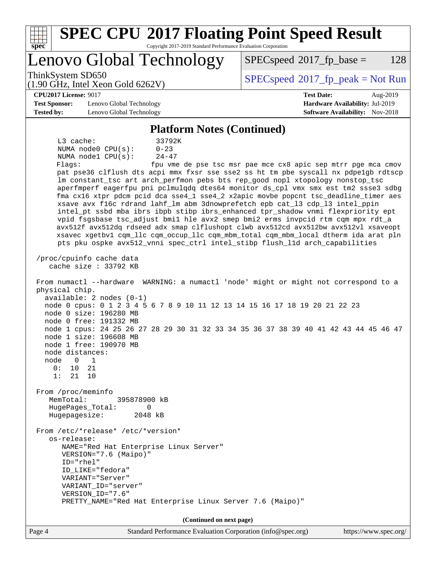| <b>SPEC CPU®2017 Floating Point Speed Result</b><br>Spec<br>Copyright 2017-2019 Standard Performance Evaluation Corporation                                                                                                                                                                                                                                                                                                                                               |                                                               |
|---------------------------------------------------------------------------------------------------------------------------------------------------------------------------------------------------------------------------------------------------------------------------------------------------------------------------------------------------------------------------------------------------------------------------------------------------------------------------|---------------------------------------------------------------|
| Lenovo Global Technology                                                                                                                                                                                                                                                                                                                                                                                                                                                  | $SPEC speed^{\circ}2017\_fp\_base =$<br>128                   |
| ThinkSystem SD650<br>$(1.90 \text{ GHz}, \text{Intel Xeon Gold } 6262 \text{V})$                                                                                                                                                                                                                                                                                                                                                                                          | $SPEC speed^{\circ}2017\_fp\_peak = Not Run$                  |
| <b>CPU2017 License: 9017</b>                                                                                                                                                                                                                                                                                                                                                                                                                                              | <b>Test Date:</b><br>Aug-2019                                 |
| <b>Test Sponsor:</b><br>Lenovo Global Technology                                                                                                                                                                                                                                                                                                                                                                                                                          | Hardware Availability: Jul-2019                               |
| <b>Tested by:</b><br>Lenovo Global Technology                                                                                                                                                                                                                                                                                                                                                                                                                             | <b>Software Availability:</b> Nov-2018                        |
| <b>Platform Notes (Continued)</b>                                                                                                                                                                                                                                                                                                                                                                                                                                         |                                                               |
| L3 cache:<br>33792K                                                                                                                                                                                                                                                                                                                                                                                                                                                       |                                                               |
| NUMA node0 CPU(s):<br>$0 - 23$                                                                                                                                                                                                                                                                                                                                                                                                                                            |                                                               |
| NUMA node1 CPU(s):<br>$24 - 47$                                                                                                                                                                                                                                                                                                                                                                                                                                           |                                                               |
| Flags:                                                                                                                                                                                                                                                                                                                                                                                                                                                                    | fpu vme de pse tsc msr pae mce cx8 apic sep mtrr pge mca cmov |
| pat pse36 clflush dts acpi mmx fxsr sse sse2 ss ht tm pbe syscall nx pdpe1gb rdtscp                                                                                                                                                                                                                                                                                                                                                                                       |                                                               |
| lm constant_tsc art arch_perfmon pebs bts rep_good nopl xtopology nonstop_tsc                                                                                                                                                                                                                                                                                                                                                                                             |                                                               |
| aperfmperf eagerfpu pni pclmulqdq dtes64 monitor ds_cpl vmx smx est tm2 ssse3 sdbg                                                                                                                                                                                                                                                                                                                                                                                        |                                                               |
| fma cx16 xtpr pdcm pcid dca sse4_1 sse4_2 x2apic movbe popcnt tsc_deadline_timer aes                                                                                                                                                                                                                                                                                                                                                                                      |                                                               |
| xsave avx f16c rdrand lahf_lm abm 3dnowprefetch epb cat_13 cdp_13 intel_ppin                                                                                                                                                                                                                                                                                                                                                                                              |                                                               |
| intel_pt ssbd mba ibrs ibpb stibp ibrs_enhanced tpr_shadow vnmi flexpriority ept<br>vpid fsgsbase tsc_adjust bmil hle avx2 smep bmi2 erms invpcid rtm cqm mpx rdt_a                                                                                                                                                                                                                                                                                                       |                                                               |
| avx512f avx512dq rdseed adx smap clflushopt clwb avx512cd avx512bw avx512vl xsaveopt                                                                                                                                                                                                                                                                                                                                                                                      |                                                               |
| xsavec xgetbv1 cqm_llc cqm_occup_llc cqm_mbm_total cqm_mbm_local dtherm ida arat pln                                                                                                                                                                                                                                                                                                                                                                                      |                                                               |
| pts pku ospke avx512_vnni spec_ctrl intel_stibp flush_lld arch_capabilities                                                                                                                                                                                                                                                                                                                                                                                               |                                                               |
| /proc/cpuinfo cache data<br>cache size : $33792$ KB<br>From numactl --hardware WARNING: a numactl 'node' might or might not correspond to a<br>physical chip.<br>$available: 2 nodes (0-1)$<br>node 0 cpus: 0 1 2 3 4 5 6 7 8 9 10 11 12 13 14 15 16 17 18 19 20 21 22 23<br>node 0 size: 196280 MB<br>node 0 free: 191332 MB<br>node 1 cpus: 24 25 26 27 28 29 30 31 32 33 34 35 36 37 38 39 40 41 42 43 44 45 46 47<br>node 1 size: 196608 MB<br>node 1 free: 190970 MB |                                                               |
| node distances:                                                                                                                                                                                                                                                                                                                                                                                                                                                           |                                                               |
| node<br>$\Omega$<br>1                                                                                                                                                                                                                                                                                                                                                                                                                                                     |                                                               |
| 0:<br>10<br>21<br>1:<br>21<br>10                                                                                                                                                                                                                                                                                                                                                                                                                                          |                                                               |
|                                                                                                                                                                                                                                                                                                                                                                                                                                                                           |                                                               |
| From /proc/meminfo                                                                                                                                                                                                                                                                                                                                                                                                                                                        |                                                               |
| MemTotal:<br>395878900 kB                                                                                                                                                                                                                                                                                                                                                                                                                                                 |                                                               |
| HugePages_Total:<br>0<br>2048 kB                                                                                                                                                                                                                                                                                                                                                                                                                                          |                                                               |
| Hugepagesize:                                                                                                                                                                                                                                                                                                                                                                                                                                                             |                                                               |
| From /etc/*release* /etc/*version*<br>os-release:                                                                                                                                                                                                                                                                                                                                                                                                                         |                                                               |
| NAME="Red Hat Enterprise Linux Server"                                                                                                                                                                                                                                                                                                                                                                                                                                    |                                                               |
| VERSION="7.6 (Maipo)"                                                                                                                                                                                                                                                                                                                                                                                                                                                     |                                                               |
| ID="rhel"                                                                                                                                                                                                                                                                                                                                                                                                                                                                 |                                                               |
| ID_LIKE="fedora"                                                                                                                                                                                                                                                                                                                                                                                                                                                          |                                                               |
| VARIANT="Server"                                                                                                                                                                                                                                                                                                                                                                                                                                                          |                                                               |
| VARIANT_ID="server"<br>VERSION_ID="7.6"                                                                                                                                                                                                                                                                                                                                                                                                                                   |                                                               |
| PRETTY_NAME="Red Hat Enterprise Linux Server 7.6 (Maipo)"                                                                                                                                                                                                                                                                                                                                                                                                                 |                                                               |
|                                                                                                                                                                                                                                                                                                                                                                                                                                                                           |                                                               |
| (Continued on next page)                                                                                                                                                                                                                                                                                                                                                                                                                                                  |                                                               |
| Page 4<br>Standard Performance Evaluation Corporation (info@spec.org)                                                                                                                                                                                                                                                                                                                                                                                                     | https://www.spec.org/                                         |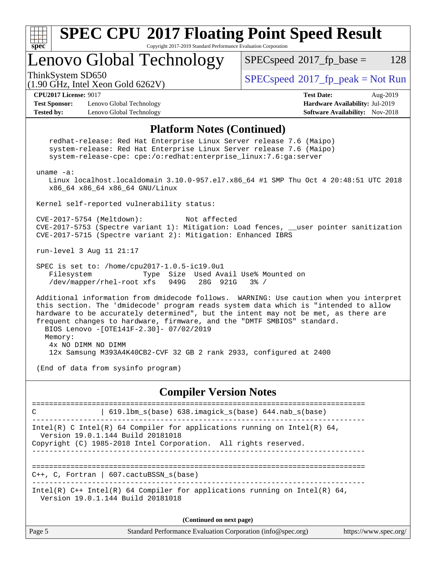

| Page 5<br>Standard Performance Evaluation Corporation (info@spec.org) | https://www.spec.org/ |
|-----------------------------------------------------------------------|-----------------------|
|-----------------------------------------------------------------------|-----------------------|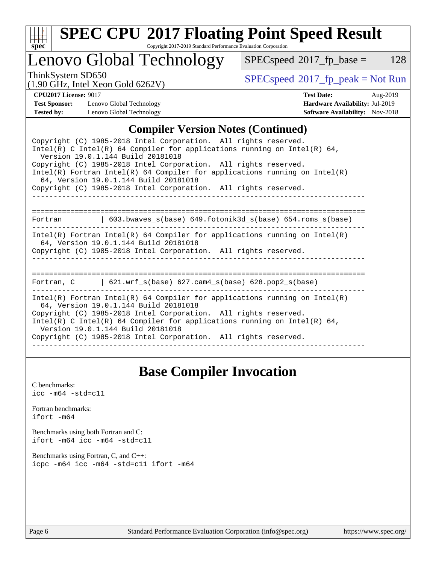

# **[SPEC CPU](http://www.spec.org/auto/cpu2017/Docs/result-fields.html#SPECCPU2017FloatingPointSpeedResult)[2017 Floating Point Speed Result](http://www.spec.org/auto/cpu2017/Docs/result-fields.html#SPECCPU2017FloatingPointSpeedResult)**

Copyright 2017-2019 Standard Performance Evaluation Corporation

Lenovo Global Technology

 $SPECspeed^{\circ}2017_fp\_base = 128$  $SPECspeed^{\circ}2017_fp\_base = 128$ 

(1.90 GHz, Intel Xeon Gold 6262V)

ThinkSystem SD650<br>(1.00 GHz, Intel Year Gold 6262V) [SPECspeed](http://www.spec.org/auto/cpu2017/Docs/result-fields.html#SPECspeed2017fppeak)®[2017\\_fp\\_peak = N](http://www.spec.org/auto/cpu2017/Docs/result-fields.html#SPECspeed2017fppeak)ot Run

**[Test Sponsor:](http://www.spec.org/auto/cpu2017/Docs/result-fields.html#TestSponsor)** Lenovo Global Technology **[Hardware Availability:](http://www.spec.org/auto/cpu2017/Docs/result-fields.html#HardwareAvailability)** Jul-2019 **[Tested by:](http://www.spec.org/auto/cpu2017/Docs/result-fields.html#Testedby)** Lenovo Global Technology **[Software Availability:](http://www.spec.org/auto/cpu2017/Docs/result-fields.html#SoftwareAvailability)** Nov-2018

**[CPU2017 License:](http://www.spec.org/auto/cpu2017/Docs/result-fields.html#CPU2017License)** 9017 **[Test Date:](http://www.spec.org/auto/cpu2017/Docs/result-fields.html#TestDate)** Aug-2019

### **[Compiler Version Notes \(Continued\)](http://www.spec.org/auto/cpu2017/Docs/result-fields.html#CompilerVersionNotes)**

## **[Base Compiler Invocation](http://www.spec.org/auto/cpu2017/Docs/result-fields.html#BaseCompilerInvocation)**

[C benchmarks](http://www.spec.org/auto/cpu2017/Docs/result-fields.html#Cbenchmarks): [icc -m64 -std=c11](http://www.spec.org/cpu2017/results/res2019q3/cpu2017-20190819-16966.flags.html#user_CCbase_intel_icc_64bit_c11_33ee0cdaae7deeeab2a9725423ba97205ce30f63b9926c2519791662299b76a0318f32ddfffdc46587804de3178b4f9328c46fa7c2b0cd779d7a61945c91cd35)

[Fortran benchmarks](http://www.spec.org/auto/cpu2017/Docs/result-fields.html#Fortranbenchmarks): [ifort -m64](http://www.spec.org/cpu2017/results/res2019q3/cpu2017-20190819-16966.flags.html#user_FCbase_intel_ifort_64bit_24f2bb282fbaeffd6157abe4f878425411749daecae9a33200eee2bee2fe76f3b89351d69a8130dd5949958ce389cf37ff59a95e7a40d588e8d3a57e0c3fd751)

[Benchmarks using both Fortran and C](http://www.spec.org/auto/cpu2017/Docs/result-fields.html#BenchmarksusingbothFortranandC): [ifort -m64](http://www.spec.org/cpu2017/results/res2019q3/cpu2017-20190819-16966.flags.html#user_CC_FCbase_intel_ifort_64bit_24f2bb282fbaeffd6157abe4f878425411749daecae9a33200eee2bee2fe76f3b89351d69a8130dd5949958ce389cf37ff59a95e7a40d588e8d3a57e0c3fd751) [icc -m64 -std=c11](http://www.spec.org/cpu2017/results/res2019q3/cpu2017-20190819-16966.flags.html#user_CC_FCbase_intel_icc_64bit_c11_33ee0cdaae7deeeab2a9725423ba97205ce30f63b9926c2519791662299b76a0318f32ddfffdc46587804de3178b4f9328c46fa7c2b0cd779d7a61945c91cd35)

[Benchmarks using Fortran, C, and C++:](http://www.spec.org/auto/cpu2017/Docs/result-fields.html#BenchmarksusingFortranCandCXX) [icpc -m64](http://www.spec.org/cpu2017/results/res2019q3/cpu2017-20190819-16966.flags.html#user_CC_CXX_FCbase_intel_icpc_64bit_4ecb2543ae3f1412ef961e0650ca070fec7b7afdcd6ed48761b84423119d1bf6bdf5cad15b44d48e7256388bc77273b966e5eb805aefd121eb22e9299b2ec9d9) [icc -m64 -std=c11](http://www.spec.org/cpu2017/results/res2019q3/cpu2017-20190819-16966.flags.html#user_CC_CXX_FCbase_intel_icc_64bit_c11_33ee0cdaae7deeeab2a9725423ba97205ce30f63b9926c2519791662299b76a0318f32ddfffdc46587804de3178b4f9328c46fa7c2b0cd779d7a61945c91cd35) [ifort -m64](http://www.spec.org/cpu2017/results/res2019q3/cpu2017-20190819-16966.flags.html#user_CC_CXX_FCbase_intel_ifort_64bit_24f2bb282fbaeffd6157abe4f878425411749daecae9a33200eee2bee2fe76f3b89351d69a8130dd5949958ce389cf37ff59a95e7a40d588e8d3a57e0c3fd751)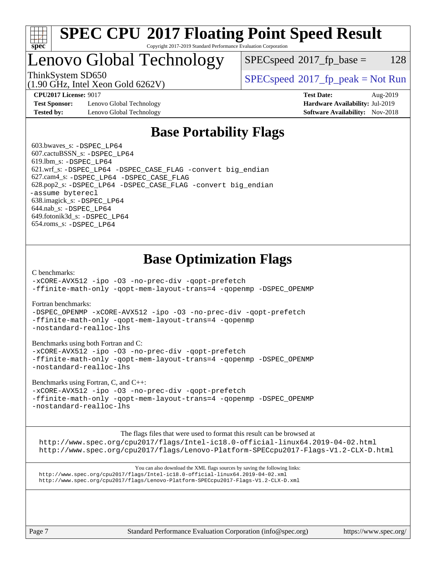

### **[SPEC CPU](http://www.spec.org/auto/cpu2017/Docs/result-fields.html#SPECCPU2017FloatingPointSpeedResult)[2017 Floating Point Speed Result](http://www.spec.org/auto/cpu2017/Docs/result-fields.html#SPECCPU2017FloatingPointSpeedResult)** Copyright 2017-2019 Standard Performance Evaluation Corporation

# Lenovo Global Technology

 $SPEC speed^{\circ}2017\_fp\_base = 128$ 

(1.90 GHz, Intel Xeon Gold 6262V)

 $SPECspeed^{\circ}2017_fp\_peak = Not Run$  $SPECspeed^{\circ}2017_fp\_peak = Not Run$ 

**[Test Sponsor:](http://www.spec.org/auto/cpu2017/Docs/result-fields.html#TestSponsor)** Lenovo Global Technology **[Hardware Availability:](http://www.spec.org/auto/cpu2017/Docs/result-fields.html#HardwareAvailability)** Jul-2019 **[Tested by:](http://www.spec.org/auto/cpu2017/Docs/result-fields.html#Testedby)** Lenovo Global Technology **[Software Availability:](http://www.spec.org/auto/cpu2017/Docs/result-fields.html#SoftwareAvailability)** Nov-2018

**[CPU2017 License:](http://www.spec.org/auto/cpu2017/Docs/result-fields.html#CPU2017License)** 9017 **[Test Date:](http://www.spec.org/auto/cpu2017/Docs/result-fields.html#TestDate)** Aug-2019

# **[Base Portability Flags](http://www.spec.org/auto/cpu2017/Docs/result-fields.html#BasePortabilityFlags)**

 603.bwaves\_s: [-DSPEC\\_LP64](http://www.spec.org/cpu2017/results/res2019q3/cpu2017-20190819-16966.flags.html#suite_basePORTABILITY603_bwaves_s_DSPEC_LP64) 607.cactuBSSN\_s: [-DSPEC\\_LP64](http://www.spec.org/cpu2017/results/res2019q3/cpu2017-20190819-16966.flags.html#suite_basePORTABILITY607_cactuBSSN_s_DSPEC_LP64) 619.lbm\_s: [-DSPEC\\_LP64](http://www.spec.org/cpu2017/results/res2019q3/cpu2017-20190819-16966.flags.html#suite_basePORTABILITY619_lbm_s_DSPEC_LP64) 621.wrf\_s: [-DSPEC\\_LP64](http://www.spec.org/cpu2017/results/res2019q3/cpu2017-20190819-16966.flags.html#suite_basePORTABILITY621_wrf_s_DSPEC_LP64) [-DSPEC\\_CASE\\_FLAG](http://www.spec.org/cpu2017/results/res2019q3/cpu2017-20190819-16966.flags.html#b621.wrf_s_baseCPORTABILITY_DSPEC_CASE_FLAG) [-convert big\\_endian](http://www.spec.org/cpu2017/results/res2019q3/cpu2017-20190819-16966.flags.html#user_baseFPORTABILITY621_wrf_s_convert_big_endian_c3194028bc08c63ac5d04de18c48ce6d347e4e562e8892b8bdbdc0214820426deb8554edfa529a3fb25a586e65a3d812c835984020483e7e73212c4d31a38223) 627.cam4\_s: [-DSPEC\\_LP64](http://www.spec.org/cpu2017/results/res2019q3/cpu2017-20190819-16966.flags.html#suite_basePORTABILITY627_cam4_s_DSPEC_LP64) [-DSPEC\\_CASE\\_FLAG](http://www.spec.org/cpu2017/results/res2019q3/cpu2017-20190819-16966.flags.html#b627.cam4_s_baseCPORTABILITY_DSPEC_CASE_FLAG) 628.pop2\_s: [-DSPEC\\_LP64](http://www.spec.org/cpu2017/results/res2019q3/cpu2017-20190819-16966.flags.html#suite_basePORTABILITY628_pop2_s_DSPEC_LP64) [-DSPEC\\_CASE\\_FLAG](http://www.spec.org/cpu2017/results/res2019q3/cpu2017-20190819-16966.flags.html#b628.pop2_s_baseCPORTABILITY_DSPEC_CASE_FLAG) [-convert big\\_endian](http://www.spec.org/cpu2017/results/res2019q3/cpu2017-20190819-16966.flags.html#user_baseFPORTABILITY628_pop2_s_convert_big_endian_c3194028bc08c63ac5d04de18c48ce6d347e4e562e8892b8bdbdc0214820426deb8554edfa529a3fb25a586e65a3d812c835984020483e7e73212c4d31a38223) [-assume byterecl](http://www.spec.org/cpu2017/results/res2019q3/cpu2017-20190819-16966.flags.html#user_baseFPORTABILITY628_pop2_s_assume_byterecl_7e47d18b9513cf18525430bbf0f2177aa9bf368bc7a059c09b2c06a34b53bd3447c950d3f8d6c70e3faf3a05c8557d66a5798b567902e8849adc142926523472) 638.imagick\_s: [-DSPEC\\_LP64](http://www.spec.org/cpu2017/results/res2019q3/cpu2017-20190819-16966.flags.html#suite_basePORTABILITY638_imagick_s_DSPEC_LP64) 644.nab\_s: [-DSPEC\\_LP64](http://www.spec.org/cpu2017/results/res2019q3/cpu2017-20190819-16966.flags.html#suite_basePORTABILITY644_nab_s_DSPEC_LP64) 649.fotonik3d\_s: [-DSPEC\\_LP64](http://www.spec.org/cpu2017/results/res2019q3/cpu2017-20190819-16966.flags.html#suite_basePORTABILITY649_fotonik3d_s_DSPEC_LP64) 654.roms\_s: [-DSPEC\\_LP64](http://www.spec.org/cpu2017/results/res2019q3/cpu2017-20190819-16966.flags.html#suite_basePORTABILITY654_roms_s_DSPEC_LP64)

# **[Base Optimization Flags](http://www.spec.org/auto/cpu2017/Docs/result-fields.html#BaseOptimizationFlags)**

[C benchmarks](http://www.spec.org/auto/cpu2017/Docs/result-fields.html#Cbenchmarks):

[-xCORE-AVX512](http://www.spec.org/cpu2017/results/res2019q3/cpu2017-20190819-16966.flags.html#user_CCbase_f-xCORE-AVX512) [-ipo](http://www.spec.org/cpu2017/results/res2019q3/cpu2017-20190819-16966.flags.html#user_CCbase_f-ipo) [-O3](http://www.spec.org/cpu2017/results/res2019q3/cpu2017-20190819-16966.flags.html#user_CCbase_f-O3) [-no-prec-div](http://www.spec.org/cpu2017/results/res2019q3/cpu2017-20190819-16966.flags.html#user_CCbase_f-no-prec-div) [-qopt-prefetch](http://www.spec.org/cpu2017/results/res2019q3/cpu2017-20190819-16966.flags.html#user_CCbase_f-qopt-prefetch) [-ffinite-math-only](http://www.spec.org/cpu2017/results/res2019q3/cpu2017-20190819-16966.flags.html#user_CCbase_f_finite_math_only_cb91587bd2077682c4b38af759c288ed7c732db004271a9512da14a4f8007909a5f1427ecbf1a0fb78ff2a814402c6114ac565ca162485bbcae155b5e4258871) [-qopt-mem-layout-trans=4](http://www.spec.org/cpu2017/results/res2019q3/cpu2017-20190819-16966.flags.html#user_CCbase_f-qopt-mem-layout-trans_fa39e755916c150a61361b7846f310bcdf6f04e385ef281cadf3647acec3f0ae266d1a1d22d972a7087a248fd4e6ca390a3634700869573d231a252c784941a8) [-qopenmp](http://www.spec.org/cpu2017/results/res2019q3/cpu2017-20190819-16966.flags.html#user_CCbase_qopenmp_16be0c44f24f464004c6784a7acb94aca937f053568ce72f94b139a11c7c168634a55f6653758ddd83bcf7b8463e8028bb0b48b77bcddc6b78d5d95bb1df2967) [-DSPEC\\_OPENMP](http://www.spec.org/cpu2017/results/res2019q3/cpu2017-20190819-16966.flags.html#suite_CCbase_DSPEC_OPENMP)

[Fortran benchmarks](http://www.spec.org/auto/cpu2017/Docs/result-fields.html#Fortranbenchmarks):

[-DSPEC\\_OPENMP](http://www.spec.org/cpu2017/results/res2019q3/cpu2017-20190819-16966.flags.html#suite_FCbase_DSPEC_OPENMP) [-xCORE-AVX512](http://www.spec.org/cpu2017/results/res2019q3/cpu2017-20190819-16966.flags.html#user_FCbase_f-xCORE-AVX512) [-ipo](http://www.spec.org/cpu2017/results/res2019q3/cpu2017-20190819-16966.flags.html#user_FCbase_f-ipo) [-O3](http://www.spec.org/cpu2017/results/res2019q3/cpu2017-20190819-16966.flags.html#user_FCbase_f-O3) [-no-prec-div](http://www.spec.org/cpu2017/results/res2019q3/cpu2017-20190819-16966.flags.html#user_FCbase_f-no-prec-div) [-qopt-prefetch](http://www.spec.org/cpu2017/results/res2019q3/cpu2017-20190819-16966.flags.html#user_FCbase_f-qopt-prefetch) [-ffinite-math-only](http://www.spec.org/cpu2017/results/res2019q3/cpu2017-20190819-16966.flags.html#user_FCbase_f_finite_math_only_cb91587bd2077682c4b38af759c288ed7c732db004271a9512da14a4f8007909a5f1427ecbf1a0fb78ff2a814402c6114ac565ca162485bbcae155b5e4258871) [-qopt-mem-layout-trans=4](http://www.spec.org/cpu2017/results/res2019q3/cpu2017-20190819-16966.flags.html#user_FCbase_f-qopt-mem-layout-trans_fa39e755916c150a61361b7846f310bcdf6f04e385ef281cadf3647acec3f0ae266d1a1d22d972a7087a248fd4e6ca390a3634700869573d231a252c784941a8) [-qopenmp](http://www.spec.org/cpu2017/results/res2019q3/cpu2017-20190819-16966.flags.html#user_FCbase_qopenmp_16be0c44f24f464004c6784a7acb94aca937f053568ce72f94b139a11c7c168634a55f6653758ddd83bcf7b8463e8028bb0b48b77bcddc6b78d5d95bb1df2967) [-nostandard-realloc-lhs](http://www.spec.org/cpu2017/results/res2019q3/cpu2017-20190819-16966.flags.html#user_FCbase_f_2003_std_realloc_82b4557e90729c0f113870c07e44d33d6f5a304b4f63d4c15d2d0f1fab99f5daaed73bdb9275d9ae411527f28b936061aa8b9c8f2d63842963b95c9dd6426b8a)

[Benchmarks using both Fortran and C](http://www.spec.org/auto/cpu2017/Docs/result-fields.html#BenchmarksusingbothFortranandC):

[-xCORE-AVX512](http://www.spec.org/cpu2017/results/res2019q3/cpu2017-20190819-16966.flags.html#user_CC_FCbase_f-xCORE-AVX512) [-ipo](http://www.spec.org/cpu2017/results/res2019q3/cpu2017-20190819-16966.flags.html#user_CC_FCbase_f-ipo) [-O3](http://www.spec.org/cpu2017/results/res2019q3/cpu2017-20190819-16966.flags.html#user_CC_FCbase_f-O3) [-no-prec-div](http://www.spec.org/cpu2017/results/res2019q3/cpu2017-20190819-16966.flags.html#user_CC_FCbase_f-no-prec-div) [-qopt-prefetch](http://www.spec.org/cpu2017/results/res2019q3/cpu2017-20190819-16966.flags.html#user_CC_FCbase_f-qopt-prefetch) [-ffinite-math-only](http://www.spec.org/cpu2017/results/res2019q3/cpu2017-20190819-16966.flags.html#user_CC_FCbase_f_finite_math_only_cb91587bd2077682c4b38af759c288ed7c732db004271a9512da14a4f8007909a5f1427ecbf1a0fb78ff2a814402c6114ac565ca162485bbcae155b5e4258871) [-qopt-mem-layout-trans=4](http://www.spec.org/cpu2017/results/res2019q3/cpu2017-20190819-16966.flags.html#user_CC_FCbase_f-qopt-mem-layout-trans_fa39e755916c150a61361b7846f310bcdf6f04e385ef281cadf3647acec3f0ae266d1a1d22d972a7087a248fd4e6ca390a3634700869573d231a252c784941a8) [-qopenmp](http://www.spec.org/cpu2017/results/res2019q3/cpu2017-20190819-16966.flags.html#user_CC_FCbase_qopenmp_16be0c44f24f464004c6784a7acb94aca937f053568ce72f94b139a11c7c168634a55f6653758ddd83bcf7b8463e8028bb0b48b77bcddc6b78d5d95bb1df2967) [-DSPEC\\_OPENMP](http://www.spec.org/cpu2017/results/res2019q3/cpu2017-20190819-16966.flags.html#suite_CC_FCbase_DSPEC_OPENMP) [-nostandard-realloc-lhs](http://www.spec.org/cpu2017/results/res2019q3/cpu2017-20190819-16966.flags.html#user_CC_FCbase_f_2003_std_realloc_82b4557e90729c0f113870c07e44d33d6f5a304b4f63d4c15d2d0f1fab99f5daaed73bdb9275d9ae411527f28b936061aa8b9c8f2d63842963b95c9dd6426b8a)

[Benchmarks using Fortran, C, and C++:](http://www.spec.org/auto/cpu2017/Docs/result-fields.html#BenchmarksusingFortranCandCXX)

[-xCORE-AVX512](http://www.spec.org/cpu2017/results/res2019q3/cpu2017-20190819-16966.flags.html#user_CC_CXX_FCbase_f-xCORE-AVX512) [-ipo](http://www.spec.org/cpu2017/results/res2019q3/cpu2017-20190819-16966.flags.html#user_CC_CXX_FCbase_f-ipo) [-O3](http://www.spec.org/cpu2017/results/res2019q3/cpu2017-20190819-16966.flags.html#user_CC_CXX_FCbase_f-O3) [-no-prec-div](http://www.spec.org/cpu2017/results/res2019q3/cpu2017-20190819-16966.flags.html#user_CC_CXX_FCbase_f-no-prec-div) [-qopt-prefetch](http://www.spec.org/cpu2017/results/res2019q3/cpu2017-20190819-16966.flags.html#user_CC_CXX_FCbase_f-qopt-prefetch) [-ffinite-math-only](http://www.spec.org/cpu2017/results/res2019q3/cpu2017-20190819-16966.flags.html#user_CC_CXX_FCbase_f_finite_math_only_cb91587bd2077682c4b38af759c288ed7c732db004271a9512da14a4f8007909a5f1427ecbf1a0fb78ff2a814402c6114ac565ca162485bbcae155b5e4258871) [-qopt-mem-layout-trans=4](http://www.spec.org/cpu2017/results/res2019q3/cpu2017-20190819-16966.flags.html#user_CC_CXX_FCbase_f-qopt-mem-layout-trans_fa39e755916c150a61361b7846f310bcdf6f04e385ef281cadf3647acec3f0ae266d1a1d22d972a7087a248fd4e6ca390a3634700869573d231a252c784941a8) [-qopenmp](http://www.spec.org/cpu2017/results/res2019q3/cpu2017-20190819-16966.flags.html#user_CC_CXX_FCbase_qopenmp_16be0c44f24f464004c6784a7acb94aca937f053568ce72f94b139a11c7c168634a55f6653758ddd83bcf7b8463e8028bb0b48b77bcddc6b78d5d95bb1df2967) [-DSPEC\\_OPENMP](http://www.spec.org/cpu2017/results/res2019q3/cpu2017-20190819-16966.flags.html#suite_CC_CXX_FCbase_DSPEC_OPENMP) [-nostandard-realloc-lhs](http://www.spec.org/cpu2017/results/res2019q3/cpu2017-20190819-16966.flags.html#user_CC_CXX_FCbase_f_2003_std_realloc_82b4557e90729c0f113870c07e44d33d6f5a304b4f63d4c15d2d0f1fab99f5daaed73bdb9275d9ae411527f28b936061aa8b9c8f2d63842963b95c9dd6426b8a)

[The flags files that were used to format this result can be browsed at](tmsearch)

<http://www.spec.org/cpu2017/flags/Intel-ic18.0-official-linux64.2019-04-02.html> <http://www.spec.org/cpu2017/flags/Lenovo-Platform-SPECcpu2017-Flags-V1.2-CLX-D.html>

[You can also download the XML flags sources by saving the following links:](tmsearch) <http://www.spec.org/cpu2017/flags/Intel-ic18.0-official-linux64.2019-04-02.xml> <http://www.spec.org/cpu2017/flags/Lenovo-Platform-SPECcpu2017-Flags-V1.2-CLX-D.xml>